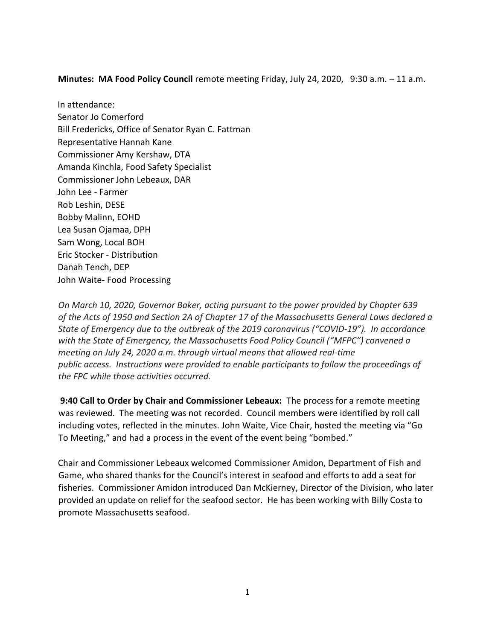**Minutes: MA Food Policy Council** remote meeting Friday, July 24, 2020, 9:30 a.m. – 11 a.m.

In attendance: Senator Jo Comerford Bill Fredericks, Office of Senator Ryan C. Fattman Representative Hannah Kane Commissioner Amy Kershaw, DTA Amanda Kinchla, Food Safety Specialist Commissioner John Lebeaux, DAR John Lee - Farmer Rob Leshin, DESE Bobby Malinn, EOHD Lea Susan Ojamaa, DPH Sam Wong, Local BOH Eric Stocker - Distribution Danah Tench, DEP John Waite- Food Processing

*On March 10, 2020, Governor Baker, acting pursuant to the power provided by Chapter 639 of the Acts of 1950 and Section 2A of Chapter 17 of the Massachusetts General Laws declared a State of Emergency due to the outbreak of the 2019 coronavirus ("COVID-19"). In accordance with the State of Emergency, the Massachusetts Food Policy Council ("MFPC") convened a meeting on July 24, 2020 a.m. through virtual means that allowed real-time public access. Instructions were provided to enable participants to follow the proceedings of the FPC while those activities occurred.* 

**9:40 Call to Order by Chair and Commissioner Lebeaux:** The process for a remote meeting was reviewed. The meeting was not recorded. Council members were identified by roll call including votes, reflected in the minutes. John Waite, Vice Chair, hosted the meeting via "Go To Meeting," and had a process in the event of the event being "bombed."

Chair and Commissioner Lebeaux welcomed Commissioner Amidon, Department of Fish and Game, who shared thanks for the Council's interest in seafood and efforts to add a seat for fisheries. Commissioner Amidon introduced Dan McKierney, Director of the Division, who later provided an update on relief for the seafood sector. He has been working with Billy Costa to promote Massachusetts seafood.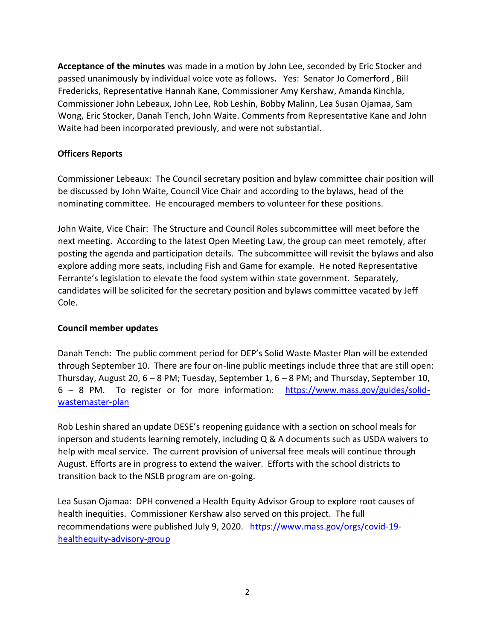**Acceptance of the minutes** was made in a motion by John Lee, seconded by Eric Stocker and passed unanimously by individual voice vote as follows**.** Yes: Senator Jo Comerford , Bill Fredericks, Representative Hannah Kane, Commissioner Amy Kershaw, Amanda Kinchla, Commissioner John Lebeaux, John Lee, Rob Leshin, Bobby Malinn, Lea Susan Ojamaa, Sam Wong, Eric Stocker, Danah Tench, John Waite. Comments from Representative Kane and John Waite had been incorporated previously, and were not substantial.

## **Officers Reports**

Commissioner Lebeaux: The Council secretary position and bylaw committee chair position will be discussed by John Waite, Council Vice Chair and according to the bylaws, head of the nominating committee. He encouraged members to volunteer for these positions.

John Waite, Vice Chair: The Structure and Council Roles subcommittee will meet before the next meeting. According to the latest Open Meeting Law, the group can meet remotely, after posting the agenda and participation details. The subcommittee will revisit the bylaws and also explore adding more seats, including Fish and Game for example. He noted Representative Ferrante's legislation to elevate the food system within state government. Separately, candidates will be solicited for the secretary position and bylaws committee vacated by Jeff Cole.

### **Council member updates**

Danah Tench: The public comment period for DEP's Solid Waste Master Plan will be extended through September 10. There are four on-line public meetings include three that are still open: Thursday, August 20,  $6 - 8$  PM; Tuesday, September 1,  $6 - 8$  PM; and Thursday, September 10, 6 – 8 PM. To register or for more information: [https://www.mass.gov/guides/solid](https://www.mass.gov/guides/solid-waste-master-plan)[wastemaster-plan](https://www.mass.gov/guides/solid-waste-master-plan)

Rob Leshin shared an update DESE's reopening guidance with a section on school meals for inperson and students learning remotely, including Q & A documents such as USDA waivers to help with meal service. The current provision of universal free meals will continue through August. Efforts are in progress to extend the waiver. Efforts with the school districts to transition back to the NSLB program are on-going.

Lea Susan Ojamaa: DPH convened a Health Equity Advisor Group to explore root causes of health inequities. Commissioner Kershaw also served on this project. The full recommendations were published July 9, 2020. [https://www.mass.gov/orgs/covid-19](https://www.mass.gov/orgs/covid-19-health-equity-advisory-group) [healthequity-advisory-group](https://www.mass.gov/orgs/covid-19-health-equity-advisory-group)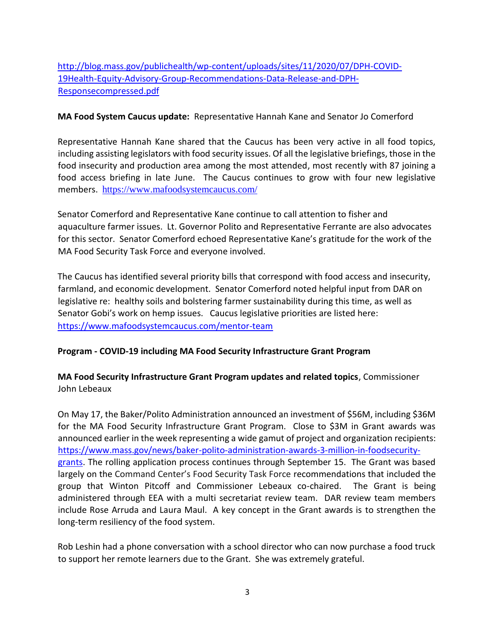[http://blog.mass.gov/publichealth/wp-content/uploads/sites/11/2020/07/DPH-COVID-](http://blog.mass.gov/publichealth/wp-content/uploads/sites/11/2020/07/DPH-COVID-19-Health-Equity-Advisory-Group-Recommendations-Data-Release-and-DPH-Response-compressed.pdf)[19Health-Equity-Advisory-Group-Recommendations-Data-Release-and-DPH-](http://blog.mass.gov/publichealth/wp-content/uploads/sites/11/2020/07/DPH-COVID-19-Health-Equity-Advisory-Group-Recommendations-Data-Release-and-DPH-Response-compressed.pdf)[Responsecompressed.pdf](http://blog.mass.gov/publichealth/wp-content/uploads/sites/11/2020/07/DPH-COVID-19-Health-Equity-Advisory-Group-Recommendations-Data-Release-and-DPH-Response-compressed.pdf)

#### **MA Food System Caucus update:** Representative Hannah Kane and Senator Jo Comerford

Representative Hannah Kane shared that the Caucus has been very active in all food topics, including assisting legislators with food security issues. Of all the legislative briefings, those in the food insecurity and production area among the most attended, most recently with 87 joining a food access briefing in late June. The Caucus continues to grow with four new legislative members. <https://www.mafoodsystemcaucus.com/>

Senator Comerford and Representative Kane continue to call attention to fisher and aquaculture farmer issues. Lt. Governor Polito and Representative Ferrante are also advocates for this sector. Senator Comerford echoed Representative Kane's gratitude for the work of the MA Food Security Task Force and everyone involved.

The Caucus has identified several priority bills that correspond with food access and insecurity, farmland, and economic development. Senator Comerford noted helpful input from DAR on legislative re: healthy soils and bolstering farmer sustainability during this time, as well as Senator Gobi's work on hemp issues. Caucus legislative priorities are listed here: <https://www.mafoodsystemcaucus.com/mentor-team>

### **Program - COVID-19 including MA Food Security Infrastructure Grant Program**

## **MA Food Security Infrastructure Grant Program updates and related topics**, Commissioner John Lebeaux

On May 17, the Baker/Polito Administration announced an investment of \$56M, including \$36M for the MA Food Security Infrastructure Grant Program. Close to \$3M in Grant awards was announced earlier in the week representing a wide gamut of project and organization recipients: [https://www.mass.gov/news/baker-polito-administration-awards-3-million-in-foodsecurity](https://www.mass.gov/news/baker-polito-administration-awards-3-million-in-food-security-grants)[grants.](https://www.mass.gov/news/baker-polito-administration-awards-3-million-in-food-security-grants) The rolling application process continues through September 15. The Grant was based largely on the Command Center's Food Security Task Force recommendations that included the group that Winton Pitcoff and Commissioner Lebeaux co-chaired. The Grant is being administered through EEA with a multi secretariat review team. DAR review team members include Rose Arruda and Laura Maul. A key concept in the Grant awards is to strengthen the long-term resiliency of the food system.

Rob Leshin had a phone conversation with a school director who can now purchase a food truck to support her remote learners due to the Grant. She was extremely grateful.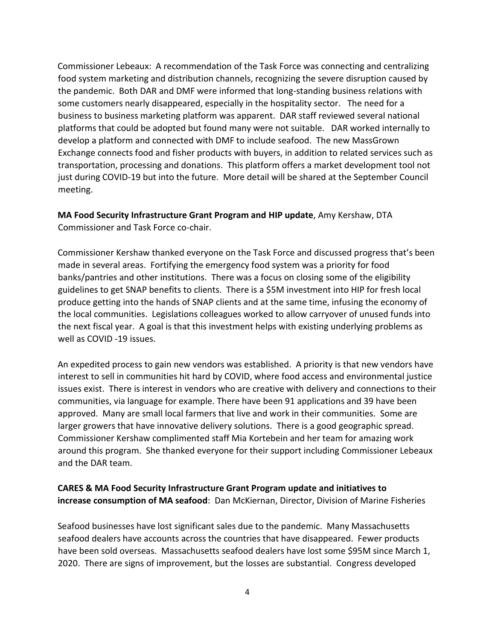Commissioner Lebeaux: A recommendation of the Task Force was connecting and centralizing food system marketing and distribution channels, recognizing the severe disruption caused by the pandemic. Both DAR and DMF were informed that long-standing business relations with some customers nearly disappeared, especially in the hospitality sector. The need for a business to business marketing platform was apparent. DAR staff reviewed several national platforms that could be adopted but found many were not suitable. DAR worked internally to develop a platform and connected with DMF to include seafood. The new MassGrown Exchange connects food and fisher products with buyers, in addition to related services such as transportation, processing and donations. This platform offers a market development tool not just during COVID-19 but into the future. More detail will be shared at the September Council meeting.

# **MA Food Security Infrastructure Grant Program and HIP update**, Amy Kershaw, DTA Commissioner and Task Force co-chair.

Commissioner Kershaw thanked everyone on the Task Force and discussed progress that's been made in several areas. Fortifying the emergency food system was a priority for food banks/pantries and other institutions. There was a focus on closing some of the eligibility guidelines to get SNAP benefits to clients. There is a \$5M investment into HIP for fresh local produce getting into the hands of SNAP clients and at the same time, infusing the economy of the local communities. Legislations colleagues worked to allow carryover of unused funds into the next fiscal year. A goal is that this investment helps with existing underlying problems as well as COVID -19 issues.

An expedited process to gain new vendors was established. A priority is that new vendors have interest to sell in communities hit hard by COVID, where food access and environmental justice issues exist. There is interest in vendors who are creative with delivery and connections to their communities, via language for example. There have been 91 applications and 39 have been approved. Many are small local farmers that live and work in their communities. Some are larger growers that have innovative delivery solutions. There is a good geographic spread. Commissioner Kershaw complimented staff Mia Kortebein and her team for amazing work around this program. She thanked everyone for their support including Commissioner Lebeaux and the DAR team.

# **CARES & MA Food Security Infrastructure Grant Program update and initiatives to increase consumption of MA seafood**: Dan McKiernan, Director, Division of Marine Fisheries

Seafood businesses have lost significant sales due to the pandemic. Many Massachusetts seafood dealers have accounts across the countries that have disappeared. Fewer products have been sold overseas. Massachusetts seafood dealers have lost some \$95M since March 1, 2020. There are signs of improvement, but the losses are substantial. Congress developed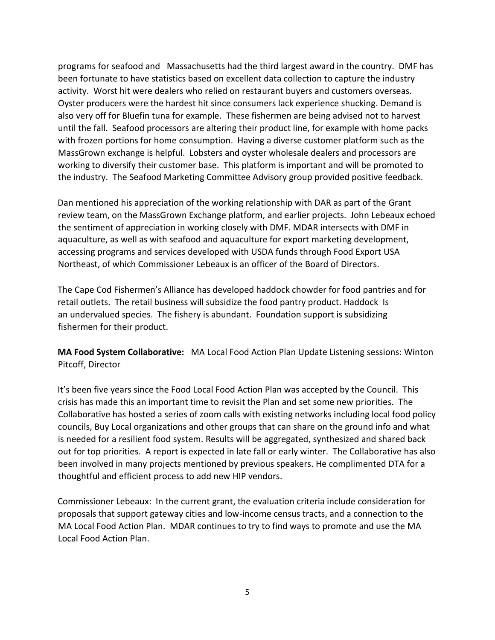programs for seafood and Massachusetts had the third largest award in the country. DMF has been fortunate to have statistics based on excellent data collection to capture the industry activity. Worst hit were dealers who relied on restaurant buyers and customers overseas. Oyster producers were the hardest hit since consumers lack experience shucking. Demand is also very off for Bluefin tuna for example. These fishermen are being advised not to harvest until the fall. Seafood processors are altering their product line, for example with home packs with frozen portions for home consumption. Having a diverse customer platform such as the MassGrown exchange is helpful. Lobsters and oyster wholesale dealers and processors are working to diversify their customer base. This platform is important and will be promoted to the industry. The Seafood Marketing Committee Advisory group provided positive feedback.

Dan mentioned his appreciation of the working relationship with DAR as part of the Grant review team, on the MassGrown Exchange platform, and earlier projects. John Lebeaux echoed the sentiment of appreciation in working closely with DMF. MDAR intersects with DMF in aquaculture, as well as with seafood and aquaculture for export marketing development, accessing programs and services developed with USDA funds through Food Export USA Northeast, of which Commissioner Lebeaux is an officer of the Board of Directors.

The Cape Cod Fishermen's Alliance has developed haddock chowder for food pantries and for retail outlets. The retail business will subsidize the food pantry product. Haddock Is an undervalued species. The fishery is abundant. Foundation support is subsidizing fishermen for their product.

**MA Food System Collaborative:** MA Local Food Action Plan Update Listening sessions: Winton Pitcoff, Director

It's been five years since the Food Local Food Action Plan was accepted by the Council. This crisis has made this an important time to revisit the Plan and set some new priorities. The Collaborative has hosted a series of zoom calls with existing networks including local food policy councils, Buy Local organizations and other groups that can share on the ground info and what is needed for a resilient food system. Results will be aggregated, synthesized and shared back out for top priorities. A report is expected in late fall or early winter. The Collaborative has also been involved in many projects mentioned by previous speakers. He complimented DTA for a thoughtful and efficient process to add new HIP vendors.

Commissioner Lebeaux: In the current grant, the evaluation criteria include consideration for proposals that support gateway cities and low-income census tracts, and a connection to the MA Local Food Action Plan. MDAR continues to try to find ways to promote and use the MA Local Food Action Plan.